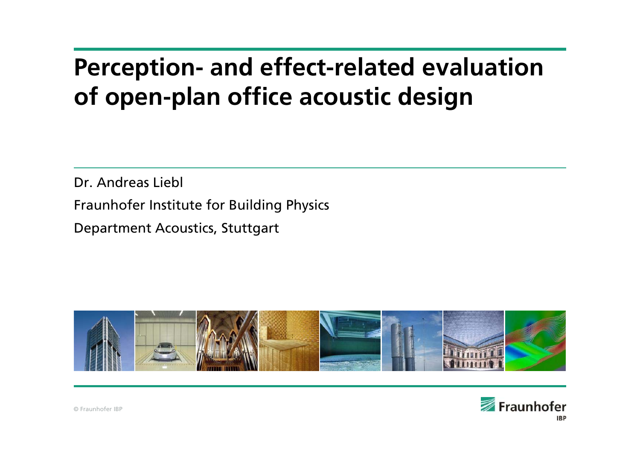# **Perception- and effect-related evaluation of open-plan office acoustic design**

Dr. Andreas Liebl

Fraunhofer Institute for Building Physics

Department Acoustics, Stuttgart



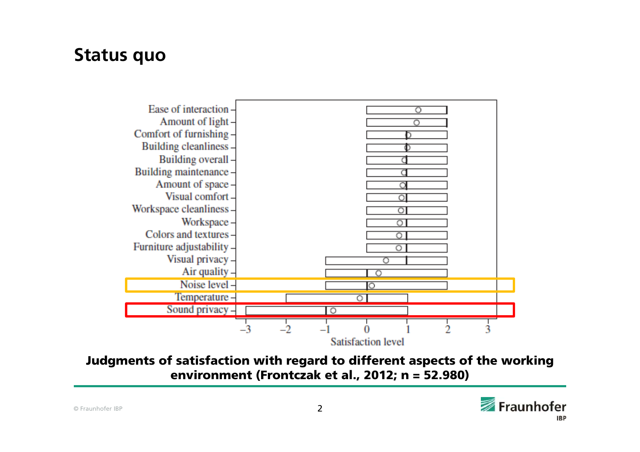#### **Status quo**



Judgments of satisfaction with regard to different aspects of the working environment (Frontczak et al., 2012; n = 52.980)

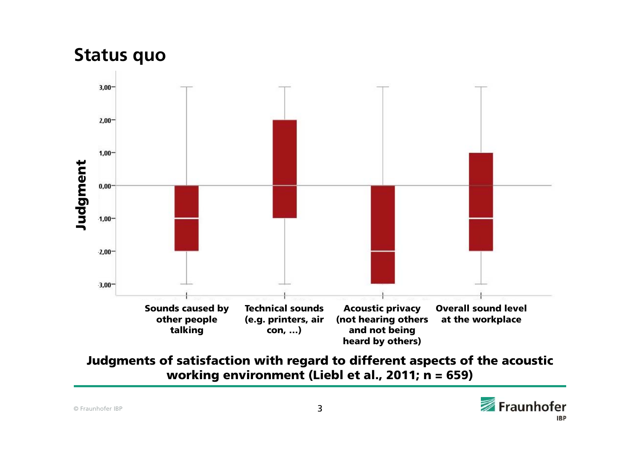#### **Status quo**



Judgments of satisfaction with regard to different aspects of the acoustic working environment (Liebl et al., 2011; n = 659)

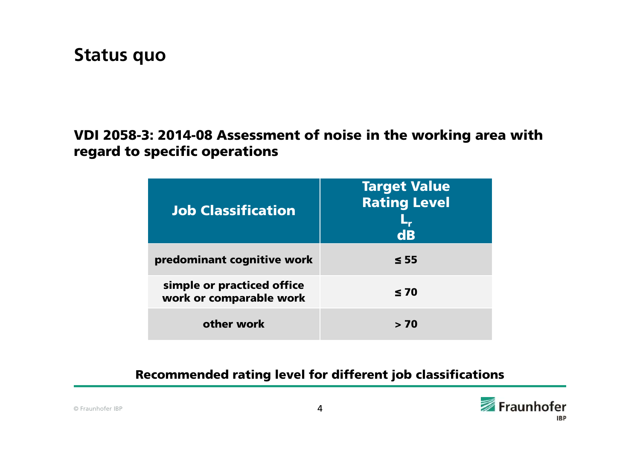#### VDI 2058-3: 2014-08 Assessment of noise in the working area with regard to specific operations

| <b>Job Classification</b>                             | <b>Target Value</b><br><b>Rating Level</b><br>d <b>B</b> |
|-------------------------------------------------------|----------------------------------------------------------|
| predominant cognitive work                            | $\leq 55$                                                |
| simple or practiced office<br>work or comparable work | $\leq 70$                                                |
| other work                                            | > 70                                                     |

#### Recommended rating level for different job classifications

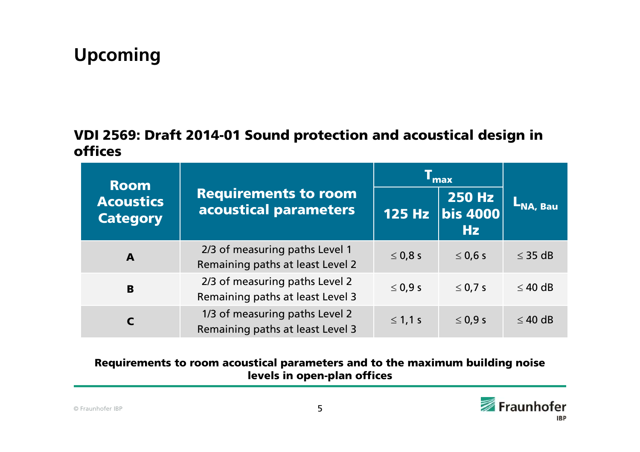## **Upcoming**

#### VDI 2569: Draft 2014-01 Sound protection and acoustical design in offices

| <b>Room</b>                         |                                                                    | <b>Almax</b> |                                             |                 |  |
|-------------------------------------|--------------------------------------------------------------------|--------------|---------------------------------------------|-----------------|--|
| <b>Acoustics</b><br><b>Category</b> | <b>Requirements to room</b><br>acoustical parameters               |              | $ 250 \text{ Hz} $<br>125 Hz bis 4000<br>Hz | <b>LNA, Bau</b> |  |
| $\mathbf{A}$                        | 2/3 of measuring paths Level 1<br>Remaining paths at least Level 2 | $\leq$ 0,8 s | $\leq$ 0,6 s                                | $\leq$ 35 dB    |  |
| B                                   | 2/3 of measuring paths Level 2<br>Remaining paths at least Level 3 | $\leq 0.9 s$ | $\leq$ 0,7 s                                | $\leq 40$ dB    |  |
|                                     | 1/3 of measuring paths Level 2<br>Remaining paths at least Level 3 | $\leq 1,1$ s | $\leq$ 0,9 s                                | $\leq$ 40 dB    |  |

#### Requirements to room acoustical parameters and to the maximum building noise levels in open-plan offices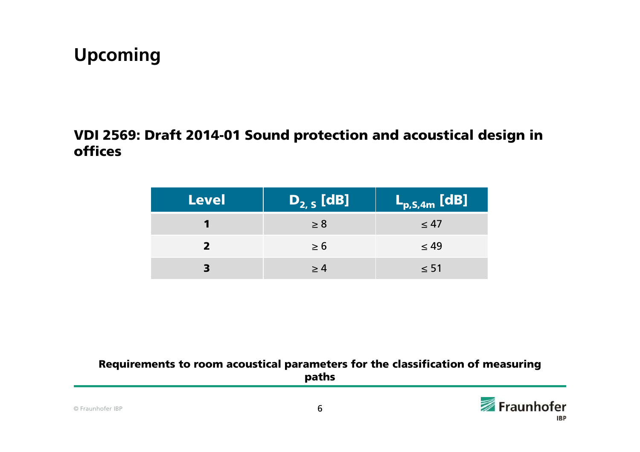### **Upcoming**

#### VDI 2569: Draft 2014-01 Sound protection and acoustical design in offices

| <b>Level</b> | $D_{2,5}$ [dB] | $L_{p,S,4m}$ [dB] |
|--------------|----------------|-------------------|
|              | $\geq 8$       | $\leq 47$         |
|              | $\geq 6$       | $\leq 49$         |
|              | >4             | $\leq 51$         |

#### Requirements to room acoustical parameters for the classification of measuring paths

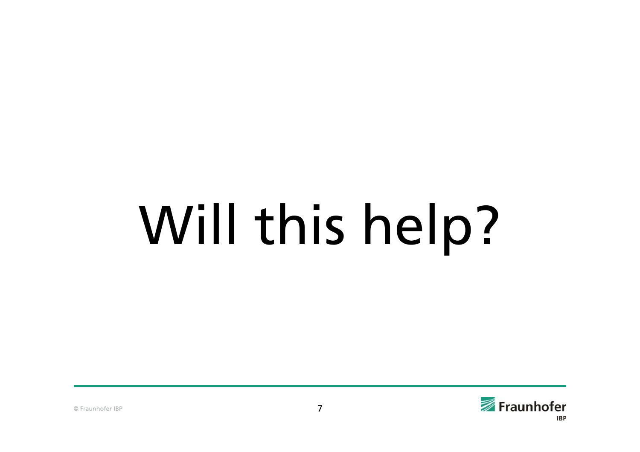# Will this help?

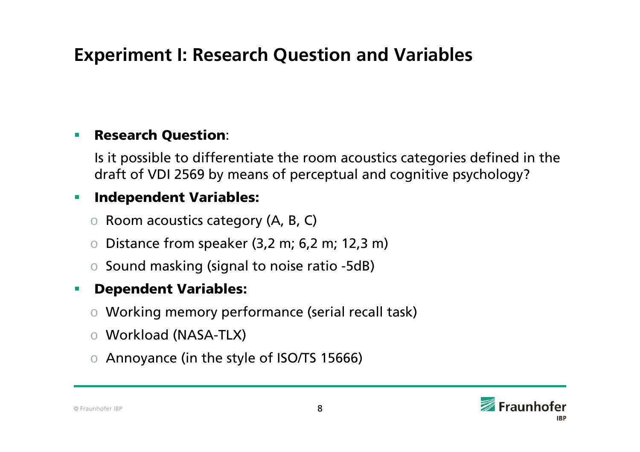# **Experiment I: Research Question and Variables**

#### п Research Question:

Is it possible to differentiate the room acoustics categories defined in the draft of VDI 2569 by means of perceptual and cognitive psychology?

#### $\mathcal{L}_{\mathcal{A}}$ Independent Variables:

- $\circ$  Room acoustics category (A, B, C)
- o Distance from speaker (3,2 m; 6,2 m; 12,3 m)
- o Sound masking (signal to noise ratio -5dB)

#### П Dependent Variables:

- o Working memory performance (serial recall task)
- o Workload (NASA-TLX)
- o Annoyance (in the style of ISO/TS 15666)

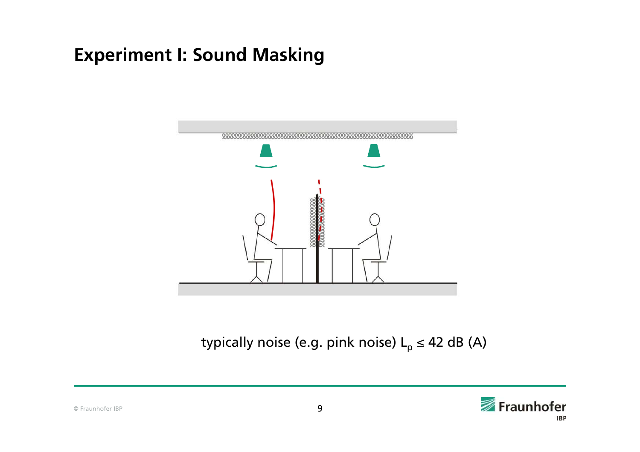

typically noise (e.g. pink noise)  $L_p \leq 42$  dB (A)

© Fraunhofer IBP



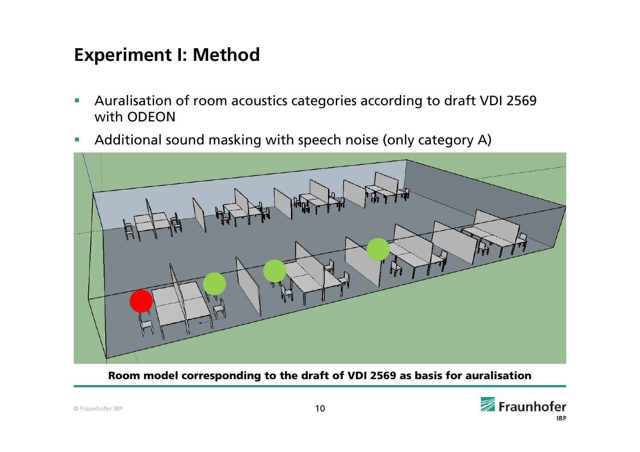## **Experiment I: Method**

- $\mathbf{r}$  Auralisation of room acoustics categories according to draft VDI 2569 with ODEON
- $\mathcal{L}_{\mathcal{A}}$ Additional sound masking with speech noise (only category A)



Room model corresponding to the draft of VDI 2569 as basis for auralisation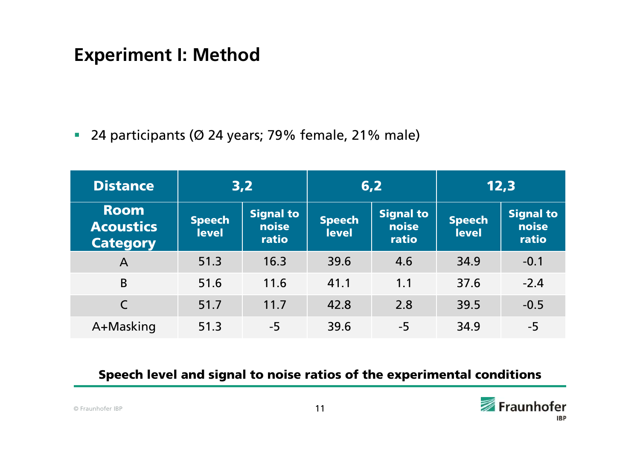## **Experiment I: Method**

24 participants (Ø 24 years; 79% female, 21% male)

| <b>Distance</b>                                    | 3,2                           |                                    | 6,2                           |                                    | 12,3                          |                             |
|----------------------------------------------------|-------------------------------|------------------------------------|-------------------------------|------------------------------------|-------------------------------|-----------------------------|
| <b>Room</b><br><b>Acoustics</b><br><b>Category</b> | <b>Speech</b><br><b>level</b> | <b>Signal to</b><br>noise<br>ratio | <b>Speech</b><br><b>level</b> | <b>Signal to</b><br>noise<br>ratio | <b>Speech</b><br><b>level</b> | Signal to<br>noise<br>ratio |
| A                                                  | 51.3                          | 16.3                               | 39.6                          | 4.6                                | 34.9                          | $-0.1$                      |
| B                                                  | 51.6                          | 11.6                               | 41.1                          | 1.1                                | 37.6                          | $-2.4$                      |
|                                                    | 51.7                          | 11.7                               | 42.8                          | 2.8                                | 39.5                          | $-0.5$                      |
| A+Masking                                          | 51.3                          | $-5$                               | 39.6                          | $-5$                               | 34.9                          | $-5$                        |

#### Speech level and signal to noise ratios of the experimental conditions

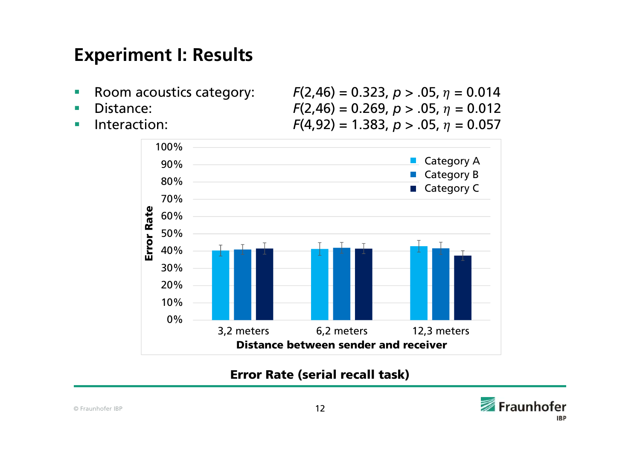- $\overline{\phantom{a}}$
- п
- **COL**

Room acoustics category:  $F(2,46) = 0.323$ ,  $p > .05$ ,  $\eta = 0.014$ Distance:  $F(2,46) = 0.269$ ,  $p > .05$ ,  $\eta = 0.012$ Interaction:  $F(4,92) = 1.383, p > .05, \eta = 0.057$ 



Error Rate (serial recall task)

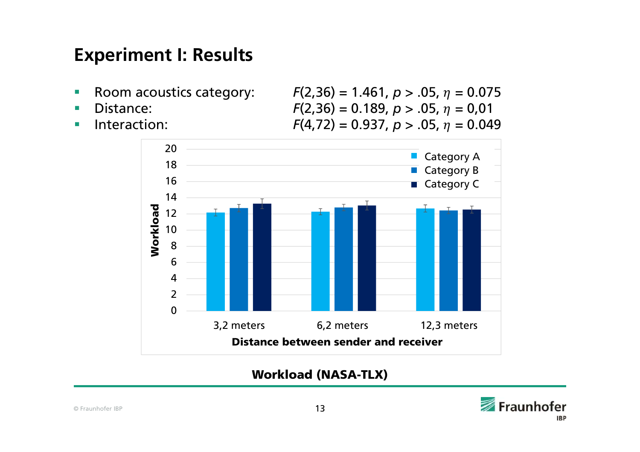- $\overline{\phantom{a}}$
- п
- $\mathcal{L}_{\mathcal{A}}$

Room acoustics category:  $F(2,36) = 1.461, p > .05, \eta = 0.075$ Distance:  $F(2,36) = 0.189$ ,  $p > .05$ ,  $\eta = 0.01$ Interaction:  $F(4,72) = 0.937, p > .05, \eta = 0.049$ 



Workload (NASA-TLX)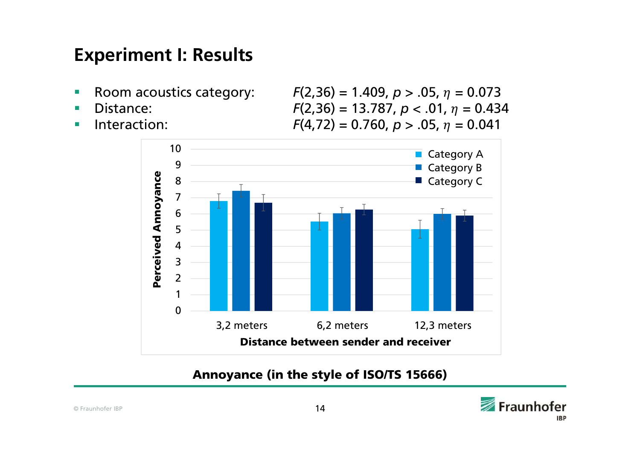- $\overline{\phantom{a}}$
- п
- **COL**

Room acoustics category:  $F(2,36) = 1.409$ ,  $p > .05$ ,  $\eta = 0.073$ Distance:  $F(2,36) = 13.787, p < .01, \eta = 0.434$ Interaction:  $F(4,72) = 0.760, p > .05, \eta = 0.041$ 



#### Annoyance (in the style of ISO/TS 15666)

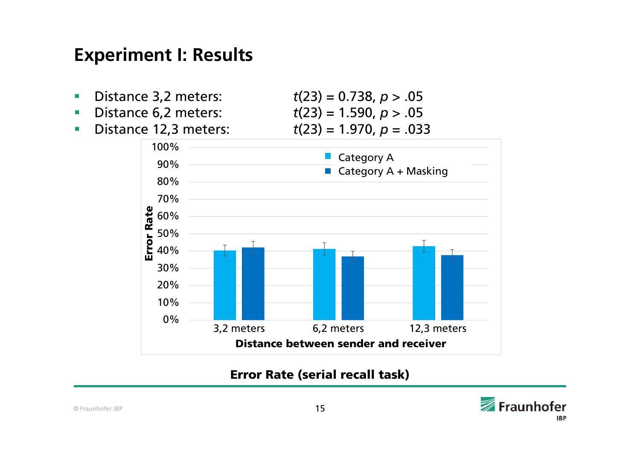- $\mathcal{L}_{\mathcal{A}}$ Distance 3,2 meters: *<sup>t</sup>*(23) = 0.738, *p* > .05
- $\blacksquare$ Distance 6,2 meters: *<sup>t</sup>*(23) = 1.590, *p* > .05
- $\mathcal{L}_{\mathcal{A}}$

Distance 12,3 meters: *<sup>t</sup>*(23) = 1.970, *p* = .033



#### Error Rate (serial recall task)

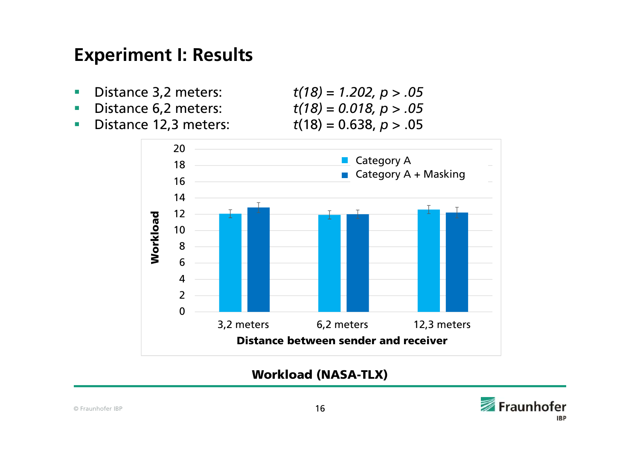- ٠ Distance 3,2 meters: *t(18) = 1.202, p > .05*
- $\mathcal{L}_{\mathcal{A}}$
- $\mathcal{L}_{\mathcal{A}}$ Distance 12,3 meters: *<sup>t</sup>*(18) = 0.638, *p* > .05

Distance 6,2 meters: *t(18) = 0.018, p > .05*



Workload (NASA-TLX)

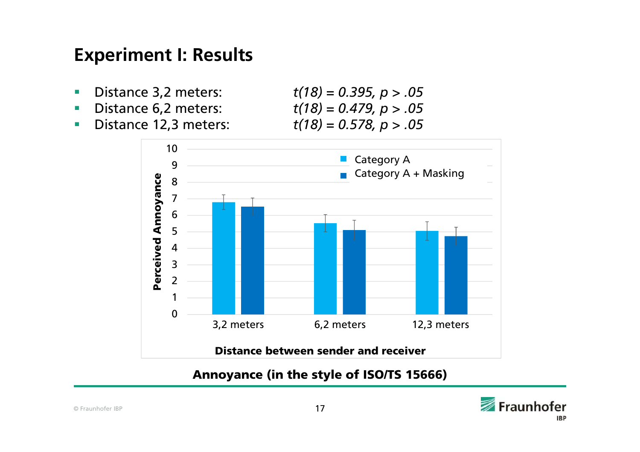- ٠ Distance 3,2 meters: *t(18) = 0.395, p > .05*
- п
- $\mathcal{L}_{\mathcal{A}}$

 Distance 6,2 meters: *t(18) = 0.479, p > .05* Distance 12,3 meters: *t(18) = 0.578, p > .05*



Annoyance (in the style of ISO/TS 15666)



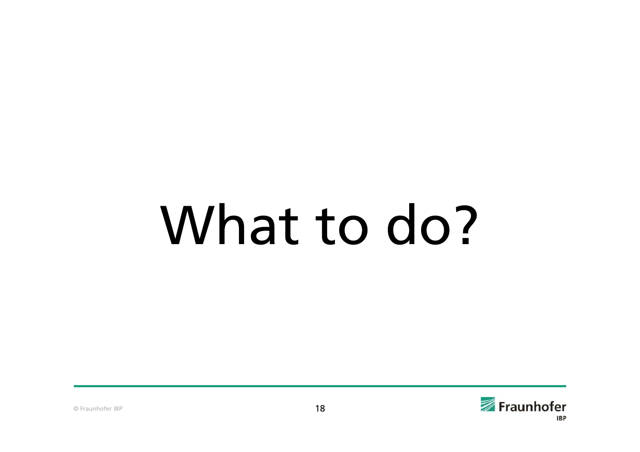# What to do?

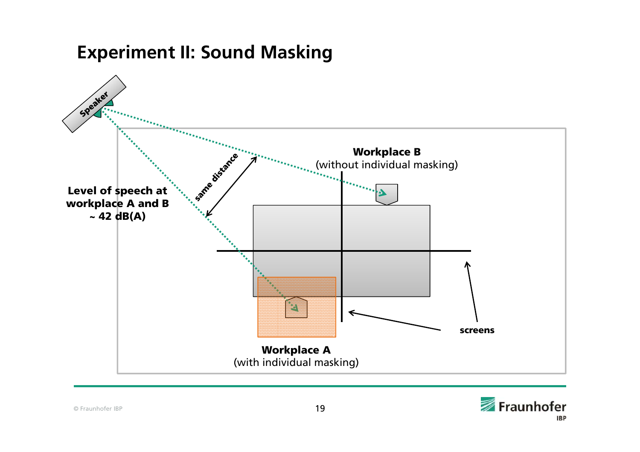

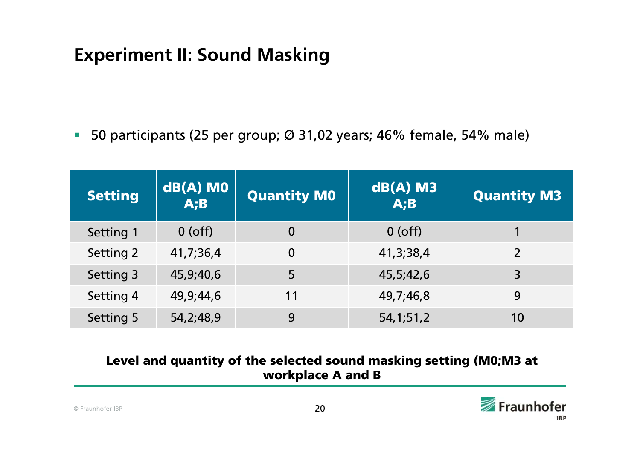50 participants (25 per group; Ø 31,02 years; 46% female, 54% male)

| <b>Setting</b> | $dB(A)$ MO<br>A;B | <b>Quantity M0</b> | $dB(A)$ M3<br>A;B | <b>Quantity M3</b> |
|----------------|-------------------|--------------------|-------------------|--------------------|
| Setting 1      | $0$ (off)         | $\bf{0}$           | $0$ (off)         |                    |
| Setting 2      | 41,7,36,4         | $\mathbf 0$        | 41, 3, 38, 4      | $\overline{2}$     |
| Setting 3      | 45,9,40,6         | 5                  | 45,5,42,6         | 3                  |
| Setting 4      | 49,9,44,6         | 11                 | 49,7,46,8         | 9                  |
| Setting 5      | 54, 2; 48, 9      | 9                  | 54, 1; 51, 2      | 10                 |

#### Level and quantity of the selected sound masking setting (M0;M3 at workplace A and B

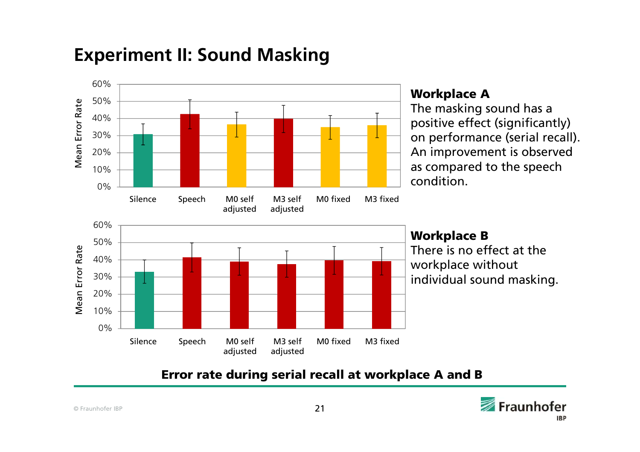

#### Error rate during serial recall at workplace A and B

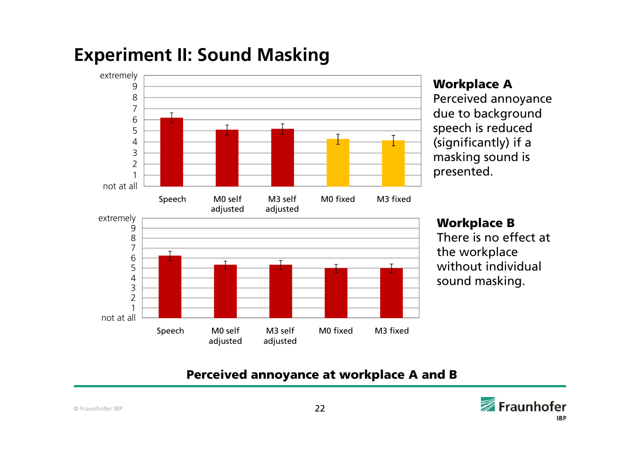

#### Workplace A

Perceived annoyance due to background speech is reduced (significantly) if a masking sound is presented.

There is no effect at the workplace without individual sound masking.

#### Perceived annoyance at workplace A and B